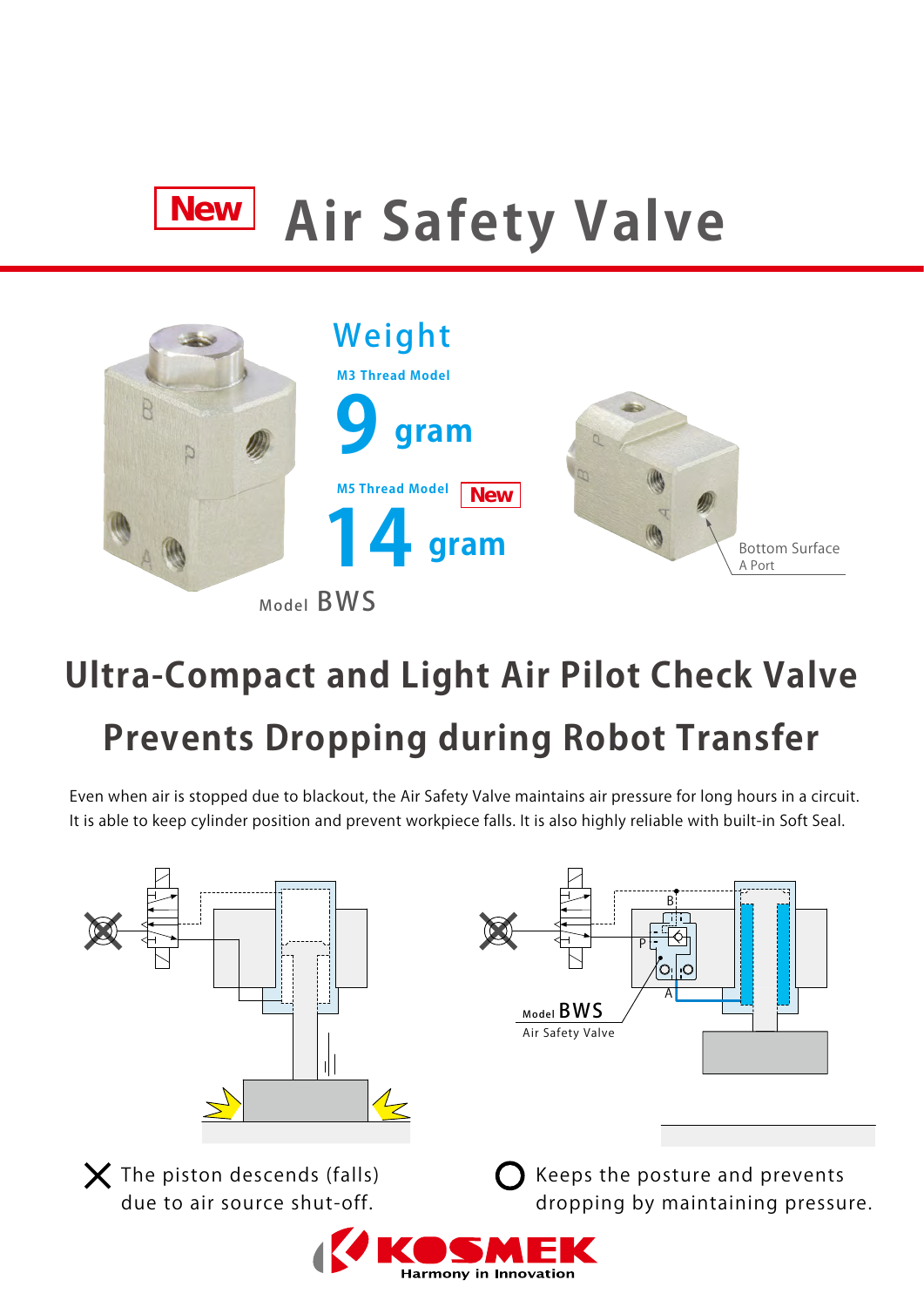# **Air Safety Valve New**



Model BWS

# **Ultra-Compact and Light Air Pilot Check Valve Prevents Dropping during Robot Transfer**

Even when air is stopped due to blackout, the Air Safety Valve maintains air pressure for long hours in a circuit. It is able to keep cylinder position and prevent workpiece falls. It is also highly reliable with built-in Soft Seal.



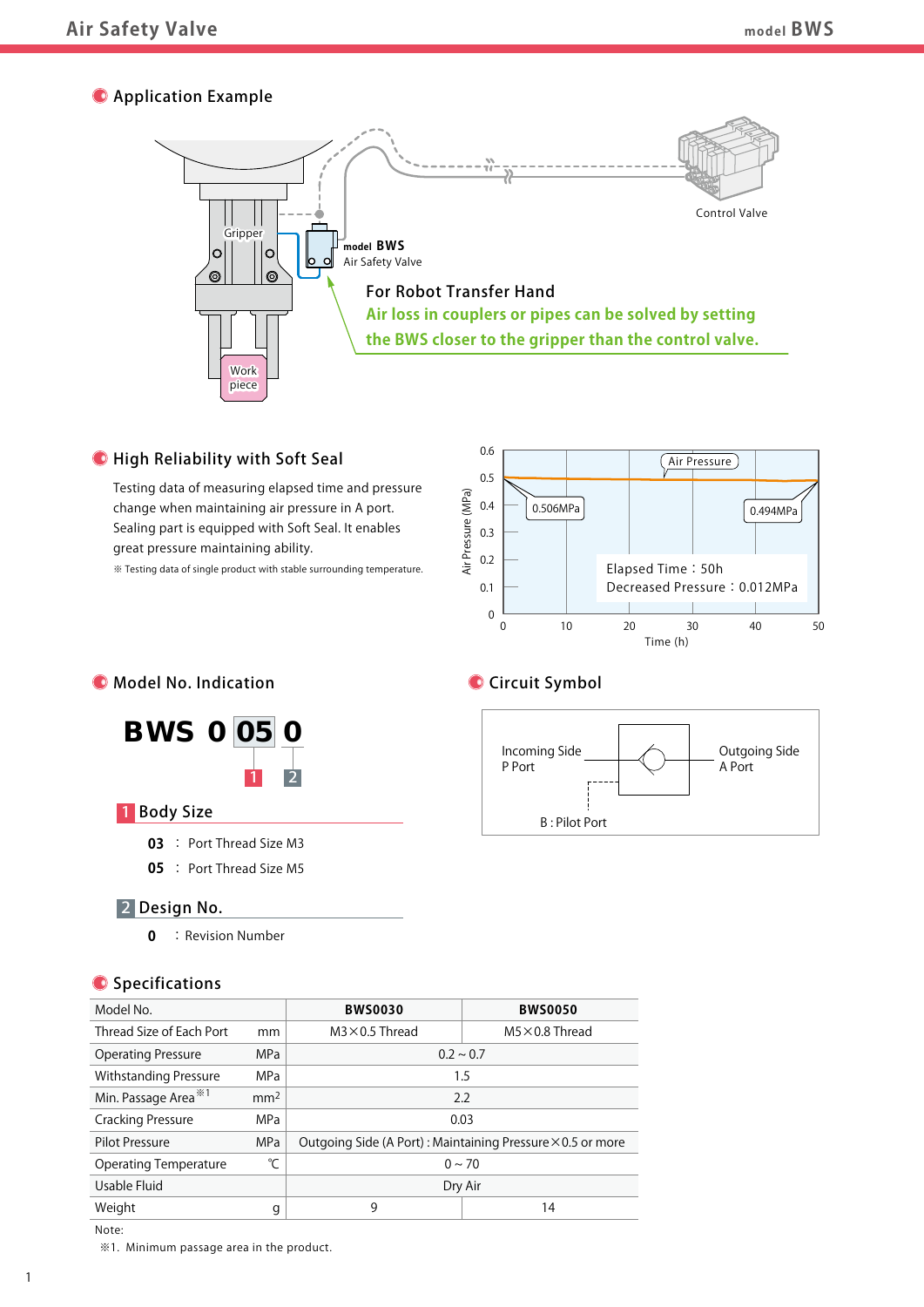# **O** Application Example



# **O** High Reliability with Soft Seal

Testing data of measuring elapsed time and pressure change when maintaining air pressure in A port. Sealing part is equipped with Soft Seal. It enables great pressure maintaining ability.

※ Testing data of single product with stable surrounding temperature.







# **Circuit Symbol**



# 1 Body Size

**03** : Port Thread Size M3

**05** : Port Thread Size M5

# 2 Design No.

**0** : Revision Number

# **O** Specifications

| Model No.                        |                 | <b>BWS0030</b>                                                    | <b>BWS0050</b>         |
|----------------------------------|-----------------|-------------------------------------------------------------------|------------------------|
| Thread Size of Each Port         | mm              | $M3 \times 0.5$ Thread                                            | $M5 \times 0.8$ Thread |
| <b>Operating Pressure</b>        | MP <sub>a</sub> | $0.2 \sim 0.7$                                                    |                        |
| <b>Withstanding Pressure</b>     | <b>MPa</b>      | 1.5                                                               |                        |
| Min. Passage Area <sup>**1</sup> | mm <sup>2</sup> | 2.2                                                               |                        |
| <b>Cracking Pressure</b>         | MPa             | 0.03                                                              |                        |
| <b>Pilot Pressure</b>            | <b>MPa</b>      | Outgoing Side (A Port): Maintaining Pressure $\times$ 0.5 or more |                        |
| <b>Operating Temperature</b>     | ℃               | $0 \sim 70$                                                       |                        |
| Usable Fluid                     |                 | Dry Air                                                           |                        |
| Weight                           | g               | 9                                                                 | 14                     |

Note:

※1. Minimum passage area in the product.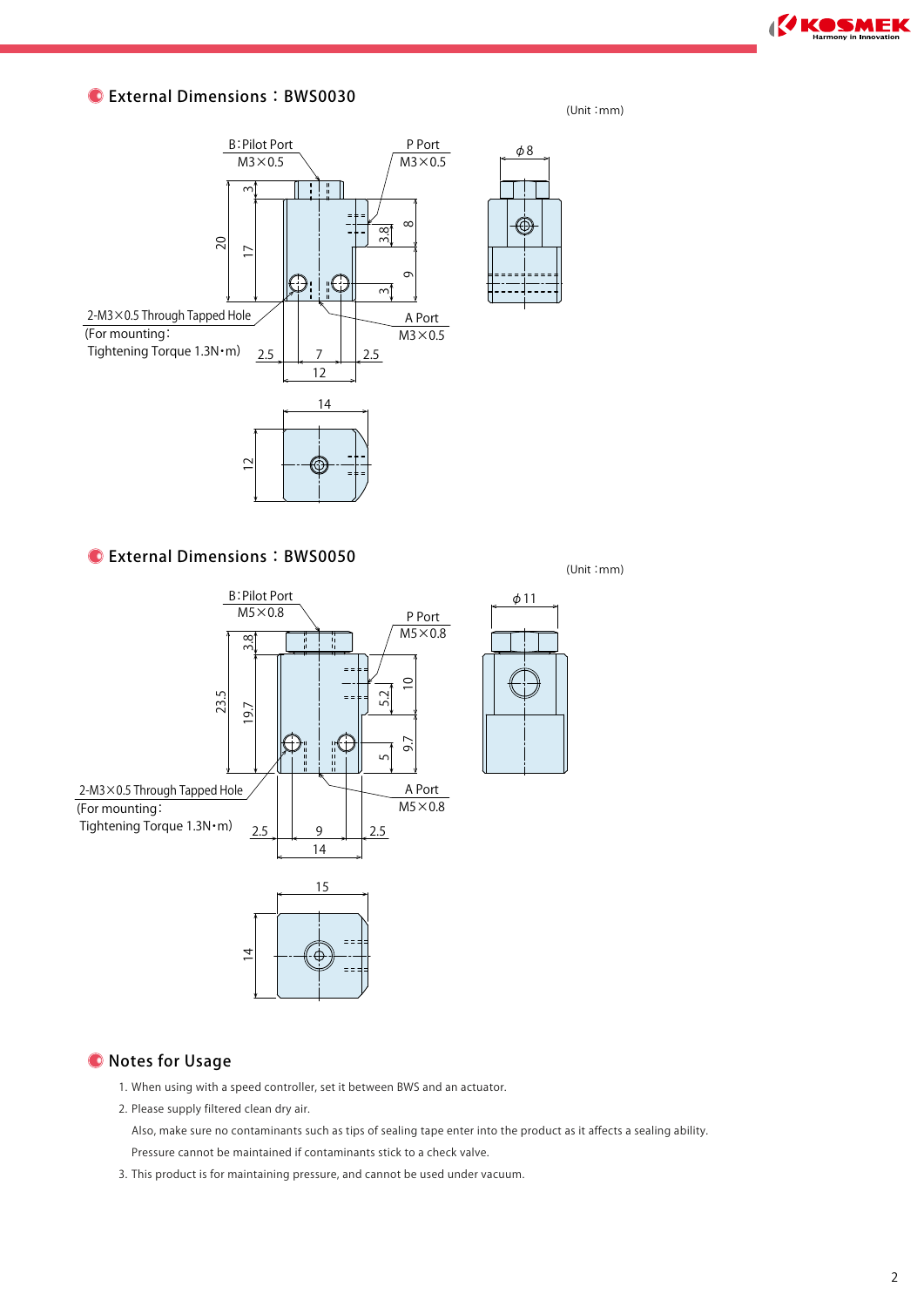**KOSMEK** 

# $\bullet$  External Dimensions: BWS0030

#### (Unit :mm)

 $- - -$ 



# External Dimensions:BWS0050

(Unit :mm)



# **O** Notes for Usage

- 1. When using with a speed controller, set it between BWS and an actuator.
- 2. Please supply filtered clean dry air.

Also, make sure no contaminants such as tips of sealing tape enter into the product as it affects a sealing ability.

Pressure cannot be maintained if contaminants stick to a check valve.

3. This product is for maintaining pressure, and cannot be used under vacuum.